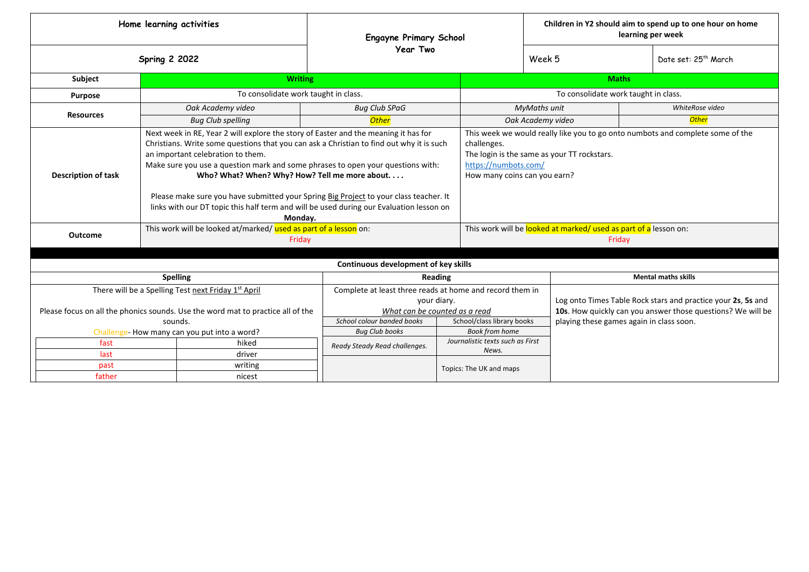| Home learning activities                                                                                                                                      |                                                                                                                                                                                                                                                                                                                                                                                                                                                                                                                                                                                                                                        |                                      | <b>Engayne Primary School</b><br><b>Year Two</b>                                                                                                                     |                         | Children in Y2 should aim to spend up to one hour on home<br>learning per week                                                                                                                                                                                                     |                                                                                                                                                                         |                            |  |
|---------------------------------------------------------------------------------------------------------------------------------------------------------------|----------------------------------------------------------------------------------------------------------------------------------------------------------------------------------------------------------------------------------------------------------------------------------------------------------------------------------------------------------------------------------------------------------------------------------------------------------------------------------------------------------------------------------------------------------------------------------------------------------------------------------------|--------------------------------------|----------------------------------------------------------------------------------------------------------------------------------------------------------------------|-------------------------|------------------------------------------------------------------------------------------------------------------------------------------------------------------------------------------------------------------------------------------------------------------------------------|-------------------------------------------------------------------------------------------------------------------------------------------------------------------------|----------------------------|--|
| <b>Spring 2 2022</b>                                                                                                                                          |                                                                                                                                                                                                                                                                                                                                                                                                                                                                                                                                                                                                                                        |                                      |                                                                                                                                                                      |                         | Week 5                                                                                                                                                                                                                                                                             | Date set: 25 <sup>th</sup> March                                                                                                                                        |                            |  |
| Subject                                                                                                                                                       |                                                                                                                                                                                                                                                                                                                                                                                                                                                                                                                                                                                                                                        | <b>Writing</b>                       |                                                                                                                                                                      | <b>Maths</b>            |                                                                                                                                                                                                                                                                                    |                                                                                                                                                                         |                            |  |
| <b>Purpose</b>                                                                                                                                                |                                                                                                                                                                                                                                                                                                                                                                                                                                                                                                                                                                                                                                        | To consolidate work taught in class. |                                                                                                                                                                      |                         |                                                                                                                                                                                                                                                                                    | To consolidate work taught in class.                                                                                                                                    |                            |  |
|                                                                                                                                                               | Oak Academy video                                                                                                                                                                                                                                                                                                                                                                                                                                                                                                                                                                                                                      |                                      | <b>Bug Club SPaG</b>                                                                                                                                                 |                         | <b>MyMaths unit</b>                                                                                                                                                                                                                                                                | WhiteRose video                                                                                                                                                         |                            |  |
| <b>Resources</b>                                                                                                                                              | <b>Bug Club spelling</b>                                                                                                                                                                                                                                                                                                                                                                                                                                                                                                                                                                                                               |                                      | <b>Other</b>                                                                                                                                                         |                         |                                                                                                                                                                                                                                                                                    | Oak Academy video                                                                                                                                                       | <b>Other</b>               |  |
| <b>Description of task</b><br><b>Outcome</b>                                                                                                                  | Next week in RE, Year 2 will explore the story of Easter and the meaning it has for<br>Christians. Write some questions that you can ask a Christian to find out why it is such<br>an important celebration to them.<br>Make sure you use a question mark and some phrases to open your questions with:<br>Who? What? When? Why? How? Tell me more about.<br>Please make sure you have submitted your Spring Big Project to your class teacher. It<br>links with our DT topic this half term and will be used during our Evaluation lesson on<br>Monday.<br>This work will be looked at/marked/ used as part of a lesson on:<br>Friday |                                      |                                                                                                                                                                      |                         | This week we would really like you to go onto numbots and complete some of the<br>challenges.<br>The login is the same as your TT rockstars.<br>https://numbots.com/<br>How many coins can you earn?<br>This work will be looked at marked/ used as part of a lesson on:<br>Friday |                                                                                                                                                                         |                            |  |
|                                                                                                                                                               |                                                                                                                                                                                                                                                                                                                                                                                                                                                                                                                                                                                                                                        |                                      | Continuous development of key skills                                                                                                                                 |                         |                                                                                                                                                                                                                                                                                    |                                                                                                                                                                         |                            |  |
| <b>Spelling</b>                                                                                                                                               |                                                                                                                                                                                                                                                                                                                                                                                                                                                                                                                                                                                                                                        |                                      |                                                                                                                                                                      | Reading                 |                                                                                                                                                                                                                                                                                    |                                                                                                                                                                         | <b>Mental maths skills</b> |  |
| There will be a Spelling Test next Friday 1 <sup>st</sup> April<br>Please focus on all the phonics sounds. Use the word mat to practice all of the<br>sounds. |                                                                                                                                                                                                                                                                                                                                                                                                                                                                                                                                                                                                                                        |                                      | Complete at least three reads at home and record them in<br>your diary.<br>What can be counted as a read<br>School colour banded books<br>School/class library books |                         |                                                                                                                                                                                                                                                                                    | Log onto Times Table Rock stars and practice your 2s, 5s and<br>10s. How quickly can you answer those questions? We will be<br>playing these games again in class soon. |                            |  |
| Challenge-How many can you put into a word?                                                                                                                   |                                                                                                                                                                                                                                                                                                                                                                                                                                                                                                                                                                                                                                        |                                      | <b>Bug Club books</b>                                                                                                                                                |                         | <b>Book from home</b>                                                                                                                                                                                                                                                              |                                                                                                                                                                         |                            |  |
| fast                                                                                                                                                          |                                                                                                                                                                                                                                                                                                                                                                                                                                                                                                                                                                                                                                        | hiked                                | Ready Steady Read challenges.                                                                                                                                        |                         | Journalistic texts such as First                                                                                                                                                                                                                                                   |                                                                                                                                                                         |                            |  |
| last                                                                                                                                                          |                                                                                                                                                                                                                                                                                                                                                                                                                                                                                                                                                                                                                                        | driver                               |                                                                                                                                                                      |                         | News.                                                                                                                                                                                                                                                                              |                                                                                                                                                                         |                            |  |
| past                                                                                                                                                          |                                                                                                                                                                                                                                                                                                                                                                                                                                                                                                                                                                                                                                        | writing                              |                                                                                                                                                                      | Topics: The UK and maps |                                                                                                                                                                                                                                                                                    |                                                                                                                                                                         |                            |  |
| father                                                                                                                                                        |                                                                                                                                                                                                                                                                                                                                                                                                                                                                                                                                                                                                                                        | nicest                               |                                                                                                                                                                      |                         |                                                                                                                                                                                                                                                                                    |                                                                                                                                                                         |                            |  |